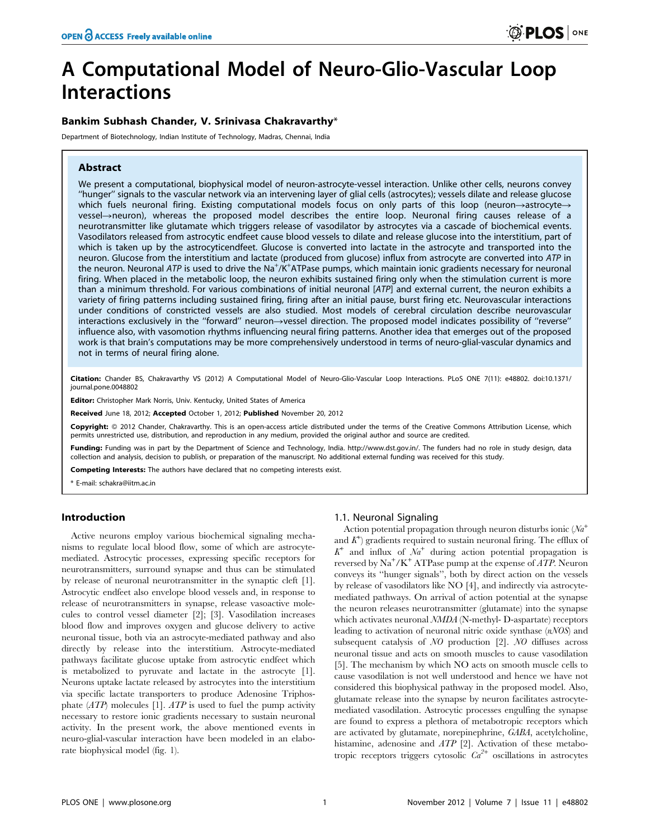# A Computational Model of Neuro-Glio-Vascular Loop Interactions

# Bankim Subhash Chander, V. Srinivasa Chakravarthy\*

Department of Biotechnology, Indian Institute of Technology, Madras, Chennai, India

# Abstract

We present a computational, biophysical model of neuron-astrocyte-vessel interaction. Unlike other cells, neurons convey ''hunger'' signals to the vascular network via an intervening layer of glial cells (astrocytes); vessels dilate and release glucose which fuels neuronal firing. Existing computational models focus on only parts of this loop (neuron->astrocyte-> vessel->neuron), whereas the proposed model describes the entire loop. Neuronal firing causes release of a neurotransmitter like glutamate which triggers release of vasodilator by astrocytes via a cascade of biochemical events. Vasodilators released from astrocytic endfeet cause blood vessels to dilate and release glucose into the interstitium, part of which is taken up by the astrocyticendfeet. Glucose is converted into lactate in the astrocyte and transported into the neuron. Glucose from the interstitium and lactate (produced from glucose) influx from astrocyte are converted into ATP in the neuron. Neuronal ATP is used to drive the Na<sup>+</sup>/K<sup>+</sup>ATPase pumps, which maintain ionic gradients necessary for neuronal firing. When placed in the metabolic loop, the neuron exhibits sustained firing only when the stimulation current is more than a minimum threshold. For various combinations of initial neuronal [ATP] and external current, the neuron exhibits a variety of firing patterns including sustained firing, firing after an initial pause, burst firing etc. Neurovascular interactions under conditions of constricted vessels are also studied. Most models of cerebral circulation describe neurovascular interactions exclusively in the "forward" neuron->vessel direction. The proposed model indicates possibility of "reverse" influence also, with vasomotion rhythms influencing neural firing patterns. Another idea that emerges out of the proposed work is that brain's computations may be more comprehensively understood in terms of neuro-glial-vascular dynamics and not in terms of neural firing alone.

Citation: Chander BS, Chakravarthy VS (2012) A Computational Model of Neuro-Glio-Vascular Loop Interactions. PLoS ONE 7(11): e48802. doi:10.1371/ journal.pone.0048802

Editor: Christopher Mark Norris, Univ. Kentucky, United States of America

Received June 18, 2012; Accepted October 1, 2012; Published November 20, 2012

Copyright: © 2012 Chander, Chakravarthy. This is an open-access article distributed under the terms of the Creative Commons Attribution License, which permits unrestricted use, distribution, and reproduction in any medium, provided the original author and source are credited.

Funding: Funding was in part by the Department of Science and Technology, India. http://www.dst.gov.in/. The funders had no role in study design, data collection and analysis, decision to publish, or preparation of the manuscript. No additional external funding was received for this study.

Competing Interests: The authors have declared that no competing interests exist.

\* E-mail: schakra@iitm.ac.in

# Introduction

Active neurons employ various biochemical signaling mechanisms to regulate local blood flow, some of which are astrocytemediated. Astrocytic processes, expressing specific receptors for neurotransmitters, surround synapse and thus can be stimulated by release of neuronal neurotransmitter in the synaptic cleft [1]. Astrocytic endfeet also envelope blood vessels and, in response to release of neurotransmitters in synapse, release vasoactive molecules to control vessel diameter [2]; [3]. Vasodilation increases blood flow and improves oxygen and glucose delivery to active neuronal tissue, both via an astrocyte-mediated pathway and also directly by release into the interstitium. Astrocyte-mediated pathways facilitate glucose uptake from astrocytic endfeet which is metabolized to pyruvate and lactate in the astrocyte [1]. Neurons uptake lactate released by astrocytes into the interstitium via specific lactate transporters to produce Adenosine Triphosphate  $(ATP)$  molecules [1].  $ATP$  is used to fuel the pump activity necessary to restore ionic gradients necessary to sustain neuronal activity. In the present work, the above mentioned events in neuro-glial-vascular interaction have been modeled in an elaborate biophysical model (fig. 1).

# 1.1. Neuronal Signaling

Action potential propagation through neuron disturbs ionic  $(Na^+$ and  $K^+$ ) gradients required to sustain neuronal firing. The efflux of  $K^+$  and influx of  $\mathcal{N}a^+$  during action potential propagation is reversed by  $\mathrm{Na^+/K^+ATP}$ ase pump at the expense of  $\widehat{ATP}$ . Neuron conveys its ''hunger signals'', both by direct action on the vessels by release of vasodilators like NO [4], and indirectly via astrocytemediated pathways. On arrival of action potential at the synapse the neuron releases neurotransmitter (glutamate) into the synapse which activates neuronal NMDA (N-methyl- D-aspartate) receptors leading to activation of neuronal nitric oxide synthase  $(nNOS)$  and subsequent catalysis of NO production [2]. NO diffuses across neuronal tissue and acts on smooth muscles to cause vasodilation [5]. The mechanism by which NO acts on smooth muscle cells to cause vasodilation is not well understood and hence we have not considered this biophysical pathway in the proposed model. Also, glutamate release into the synapse by neuron facilitates astrocytemediated vasodilation. Astrocytic processes engulfing the synapse are found to express a plethora of metabotropic receptors which are activated by glutamate, norepinephrine, GABA, acetylcholine, histamine, adenosine and ATP [2]. Activation of these metabotropic receptors triggers cytosolic  $Ca^{2+}$  oscillations in astrocytes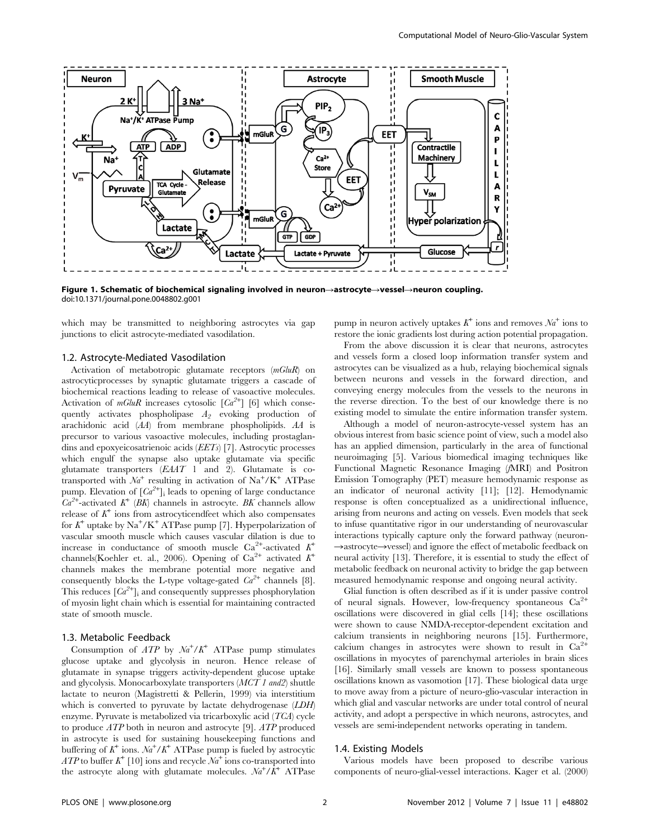

Figure 1. Schematic of biochemical signaling involved in neuron $\rightarrow$ astrocyte $\rightarrow$ vessel $\rightarrow$ neuron coupling. doi:10.1371/journal.pone.0048802.g001

which may be transmitted to neighboring astrocytes via gap junctions to elicit astrocyte-mediated vasodilation.

## 1.2. Astrocyte-Mediated Vasodilation

Activation of metabotropic glutamate receptors (mGluR) on astrocyticprocesses by synaptic glutamate triggers a cascade of biochemical reactions leading to release of vasoactive molecules. Activation of  $mGluR$  increases cytosolic  $\left[Ca^{2+}\right]$  [6] which consequently activates phospholipase  $A_2$  evoking production of arachidonic acid (AA) from membrane phospholipids. AA is precursor to various vasoactive molecules, including prostaglandins and epoxyeicosatrienoic acids (EETs) [7]. Astrocytic processes which engulf the synapse also uptake glutamate via specific glutamate transporters (EAAT 1 and 2). Glutamate is cotransported with  $Na^+$  resulting in activation of  $Na^+/K^+$  ATPase pump. Elevation of  $[Ca^{2+}]_i$  leads to opening of large conductance  $Ca^{2+}$ -activated  $K^+$  (BK) channels in astrocyte. BK channels allow release of  $K^+$  ions from astrocyticendfeet which also compensates for  $K^+$  uptake by  $\mathrm{Na^+/K^+ATP}$ ase pump [7]. Hyperpolarization of vascular smooth muscle which causes vascular dilation is due to increase in conductance of smooth muscle  $\text{Ca}^{2+}$ -activated  $K^+$ channels(Koehler et. al., 2006). Opening of Ca<sup>2+</sup> activated  $K^+$ channels makes the membrane potential more negative and consequently blocks the L-type voltage-gated  $Ca^{2+}$  channels [8]. This reduces  $[Ca^{2+}]_i$  and consequently suppresses phosphorylation of myosin light chain which is essential for maintaining contracted state of smooth muscle.

## 1.3. Metabolic Feedback

Consumption of  $ATP$  by  $\mathcal{N}a^+/\mathcal{K}^+$  ATPase pump stimulates glucose uptake and glycolysis in neuron. Hence release of glutamate in synapse triggers activity-dependent glucose uptake and glycolysis. Monocarboxylate transporters (MCT 1 and2) shuttle lactate to neuron (Magistretti & Pellerin, 1999) via interstitium which is converted to pyruvate by lactate dehydrogenase (*LDH*) enzyme. Pyruvate is metabolized via tricarboxylic acid  $(TCA)$  cycle to produce ATP both in neuron and astrocyte [9]. ATP produced in astrocyte is used for sustaining housekeeping functions and buffering of  $K^+$  ions.  $\mathcal{N}a^+/\mathcal{K}^+$  ATPase pump is fueled by astrocytic  $ATP$  to buffer  $K^{\dagger}$  [10] ions and recycle  $Na^{\dagger}$  ions co-transported into the astrocyte along with glutamate molecules.  $N a^+/ \vec{R}^+$  ATPase

pump in neuron actively uptakes  $K^+$  ions and removes  $\mathcal{N}a^+$  ions to restore the ionic gradients lost during action potential propagation.

From the above discussion it is clear that neurons, astrocytes and vessels form a closed loop information transfer system and astrocytes can be visualized as a hub, relaying biochemical signals between neurons and vessels in the forward direction, and conveying energy molecules from the vessels to the neurons in the reverse direction. To the best of our knowledge there is no existing model to simulate the entire information transfer system.

Although a model of neuron-astrocyte-vessel system has an obvious interest from basic science point of view, such a model also has an applied dimension, particularly in the area of functional neuroimaging [5]. Various biomedical imaging techniques like Functional Magnetic Resonance Imaging (fMRI) and Positron Emission Tomography (PET) measure hemodynamic response as an indicator of neuronal activity [11]; [12]. Hemodynamic response is often conceptualized as a unidirectional influence, arising from neurons and acting on vessels. Even models that seek to infuse quantitative rigor in our understanding of neurovascular interactions typically capture only the forward pathway (neuron- $\rightarrow$ astrocyte $\rightarrow$ vessel) and ignore the effect of metabolic feedback on neural activity [13]. Therefore, it is essential to study the effect of metabolic feedback on neuronal activity to bridge the gap between measured hemodynamic response and ongoing neural activity.

Glial function is often described as if it is under passive control of neural signals. However, low-frequency spontaneous  $Ca^{2+}$ oscillations were discovered in glial cells [14]; these oscillations were shown to cause NMDA-receptor-dependent excitation and calcium transients in neighboring neurons [15]. Furthermore, calcium changes in astrocytes were shown to result in  $Ca^{2+}$ oscillations in myocytes of parenchymal arterioles in brain slices [16]. Similarly small vessels are known to possess spontaneous oscillations known as vasomotion [17]. These biological data urge to move away from a picture of neuro-glio-vascular interaction in which glial and vascular networks are under total control of neural activity, and adopt a perspective in which neurons, astrocytes, and vessels are semi-independent networks operating in tandem.

## 1.4. Existing Models

Various models have been proposed to describe various components of neuro-glial-vessel interactions. Kager et al. (2000)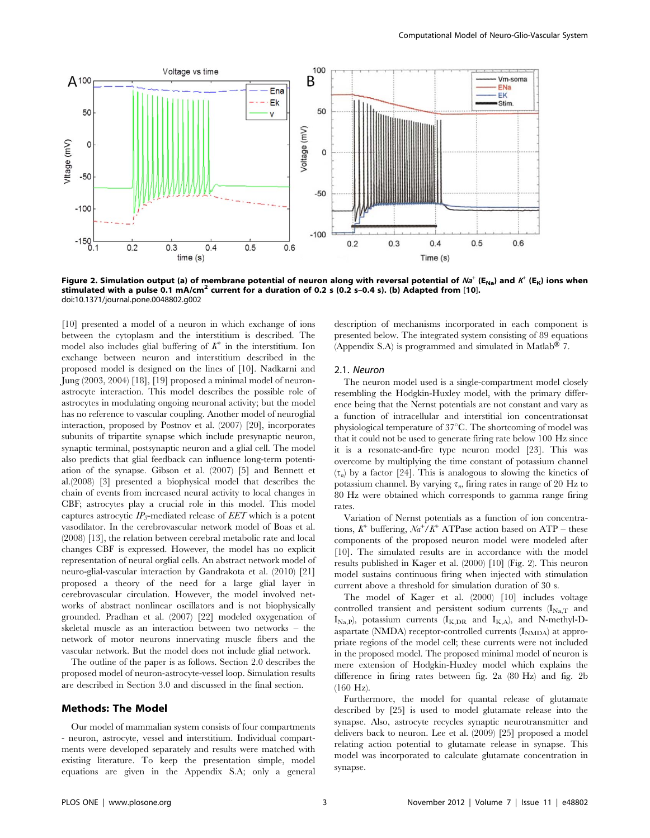

Figure 2. Simulation output (a) of membrane potential of neuron along with reversal potential of  $N_a^+$  (E<sub>Na</sub>) and K<sup>+</sup> (E<sub>K</sub>) ions when stimulated with a pulse 0.1 mA/cm<sup>2</sup> current for a duration of 0.2 s (0.2 s-0.4 s). (b) Adapted from [10]. doi:10.1371/journal.pone.0048802.g002

[10] presented a model of a neuron in which exchange of ions between the cytoplasm and the interstitium is described. The model also includes glial buffering of  $K^+$  in the interstitium. Ion exchange between neuron and interstitium described in the proposed model is designed on the lines of [10]. Nadkarni and Jung (2003, 2004) [18], [19] proposed a minimal model of neuronastrocyte interaction. This model describes the possible role of astrocytes in modulating ongoing neuronal activity; but the model has no reference to vascular coupling. Another model of neuroglial interaction, proposed by Postnov et al. (2007) [20], incorporates subunits of tripartite synapse which include presynaptic neuron, synaptic terminal, postsynaptic neuron and a glial cell. The model also predicts that glial feedback can influence long-term potentiation of the synapse. Gibson et al. (2007) [5] and Bennett et al.(2008) [3] presented a biophysical model that describes the chain of events from increased neural activity to local changes in CBF; astrocytes play a crucial role in this model. This model captures astrocytic  $IP_3$ -mediated release of  $EET$  which is a potent vasodilator. In the cerebrovascular network model of Boas et al. (2008) [13], the relation between cerebral metabolic rate and local changes CBF is expressed. However, the model has no explicit representation of neural orglial cells. An abstract network model of neuro-glial-vascular interaction by Gandrakota et al. (2010) [21] proposed a theory of the need for a large glial layer in cerebrovascular circulation. However, the model involved networks of abstract nonlinear oscillators and is not biophysically grounded. Pradhan et al. (2007) [22] modeled oxygenation of skeletal muscle as an interaction between two networks – the network of motor neurons innervating muscle fibers and the vascular network. But the model does not include glial network.

The outline of the paper is as follows. Section 2.0 describes the proposed model of neuron-astrocyte-vessel loop. Simulation results are described in Section 3.0 and discussed in the final section.

# Methods: The Model

Our model of mammalian system consists of four compartments - neuron, astrocyte, vessel and interstitium. Individual compartments were developed separately and results were matched with existing literature. To keep the presentation simple, model equations are given in the Appendix S.A; only a general

description of mechanisms incorporated in each component is presented below. The integrated system consisting of 89 equations (Appendix S.A) is programmed and simulated in Matlab<sup>®</sup> 7.

## 2.1. Neuron

The neuron model used is a single-compartment model closely resembling the Hodgkin-Huxley model, with the primary difference being that the Nernst potentials are not constant and vary as a function of intracellular and interstitial ion concentrationsat physiological temperature of  $37^{\circ}$ C. The shortcoming of model was that it could not be used to generate firing rate below 100 Hz since it is a resonate-and-fire type neuron model [23]. This was overcome by multiplying the time constant of potassium channel  $(\tau_n)$  by a factor [24]. This is analogous to slowing the kinetics of potassium channel. By varying  $\tau_n$ , firing rates in range of 20 Hz to 80 Hz were obtained which corresponds to gamma range firing rates.

Variation of Nernst potentials as a function of ion concentrations,  $K^+$  buffering,  $\mathcal{N}a^+\mathcal{N}^+$  ATPase action based on ATP – these components of the proposed neuron model were modeled after [10]. The simulated results are in accordance with the model results published in Kager et al. (2000) [10] (Fig. 2). This neuron model sustains continuous firing when injected with stimulation current above a threshold for simulation duration of 30 s.

The model of Kager et al. (2000) [10] includes voltage controlled transient and persistent sodium currents  $(I_{\text{Na-T}}$  and  $I_{\text{Na,P}}$ ), potassium currents ( $I_{\text{K,DR}}$  and  $I_{\text{K,A}}$ ), and N-methyl-Daspartate (NMDA) receptor-controlled currents  $(I_{NMDA})$  at appropriate regions of the model cell; these currents were not included in the proposed model. The proposed minimal model of neuron is mere extension of Hodgkin-Huxley model which explains the difference in firing rates between fig. 2a (80 Hz) and fig. 2b (160 Hz).

Furthermore, the model for quantal release of glutamate described by [25] is used to model glutamate release into the synapse. Also, astrocyte recycles synaptic neurotransmitter and delivers back to neuron. Lee et al. (2009) [25] proposed a model relating action potential to glutamate release in synapse. This model was incorporated to calculate glutamate concentration in synapse.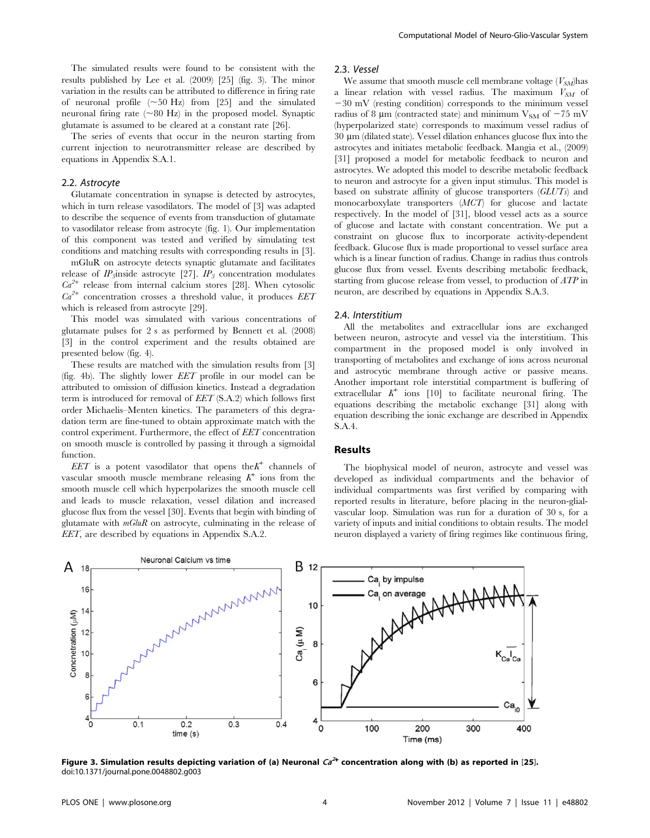The simulated results were found to be consistent with the results published by Lee et al. (2009) [25] (fig. 3). The minor variation in the results can be attributed to difference in firing rate of neuronal profile  $(\sim 50 \text{ Hz})$  from [25] and the simulated neuronal firing rate  $(\sim 80 \text{ Hz})$  in the proposed model. Synaptic glutamate is assumed to be cleared at a constant rate [26].

The series of events that occur in the neuron starting from current injection to neurotransmitter release are described by equations in Appendix S.A.1.

## 2.2. Astrocyte

Glutamate concentration in synapse is detected by astrocytes, which in turn release vasodilators. The model of [3] was adapted to describe the sequence of events from transduction of glutamate to vasodilator release from astrocyte (fig. 1). Our implementation of this component was tested and verified by simulating test conditions and matching results with corresponding results in [3].

mGluR on astrocyte detects synaptic glutamate and facilitates release of  $IP_3$ inside astrocyte [27].  $IP_3$  concentration modulates  $Ca^{2+}$  release from internal calcium stores [28]. When cytosolic  $Ca^{2+}$  concentration crosses a threshold value, it produces EET which is released from astrocyte [29].

This model was simulated with various concentrations of glutamate pulses for 2 s as performed by Bennett et al. (2008) [3] in the control experiment and the results obtained are presented below (fig. 4).

These results are matched with the simulation results from [3] (fig. 4b). The slightly lower EET profile in our model can be attributed to omission of diffusion kinetics. Instead a degradation term is introduced for removal of EET (S.A.2) which follows first order Michaelis–Menten kinetics. The parameters of this degradation term are fine-tuned to obtain approximate match with the control experiment. Furthermore, the effect of EET concentration on smooth muscle is controlled by passing it through a sigmoidal function.

EET is a potent vasodilator that opens the  $K^+$  channels of vascular smooth muscle membrane releasing  $K^+$  ions from the smooth muscle cell which hyperpolarizes the smooth muscle cell and leads to muscle relaxation, vessel dilation and increased glucose flux from the vessel [30]. Events that begin with binding of glutamate with  $mGluR$  on astrocyte, culminating in the release of EET, are described by equations in Appendix S.A.2.

## 2.3. Vessel

We assume that smooth muscle cell membrane voltage  $(V_{SM})$ has a linear relation with vessel radius. The maximum  $V_{SM}$  of  $-30$  mV (resting condition) corresponds to the minimum vessel radius of 8 µm (contracted state) and minimum  $V_{SM}$  of  $-75$  mV (hyperpolarized state) corresponds to maximum vessel radius of  $30 \mu m$  (dilated state). Vessel dilation enhances glucose flux into the astrocytes and initiates metabolic feedback. Mangia et al., (2009) [31] proposed a model for metabolic feedback to neuron and astrocytes. We adopted this model to describe metabolic feedback to neuron and astrocyte for a given input stimulus. This model is based on substrate affinity of glucose transporters  $(GLUTs)$  and monocarboxylate transporters (MCT) for glucose and lactate respectively. In the model of [31], blood vessel acts as a source of glucose and lactate with constant concentration. We put a constraint on glucose flux to incorporate activity-dependent feedback. Glucose flux is made proportional to vessel surface area which is a linear function of radius. Change in radius thus controls glucose flux from vessel. Events describing metabolic feedback, starting from glucose release from vessel, to production of ATP in neuron, are described by equations in Appendix S.A.3.

#### 2.4. Interstitium

All the metabolites and extracellular ions are exchanged between neuron, astrocyte and vessel via the interstitium. This compartment in the proposed model is only involved in transporting of metabolites and exchange of ions across neuronal and astrocytic membrane through active or passive means. Another important role interstitial compartment is buffering of extracellular  $K^+$  ions [10] to facilitate neuronal firing. The equations describing the metabolic exchange [31] along with equation describing the ionic exchange are described in Appendix S.A.4.

# Results

The biophysical model of neuron, astrocyte and vessel was developed as individual compartments and the behavior of individual compartments was first verified by comparing with reported results in literature, before placing in the neuron-glialvascular loop. Simulation was run for a duration of 30 s, for a variety of inputs and initial conditions to obtain results. The model neuron displayed a variety of firing regimes like continuous firing,



Figure 3. Simulation results depicting variation of (a) Neuronal  $Ca^{2+}$  concentration along with (b) as reported in [25]. doi:10.1371/journal.pone.0048802.g003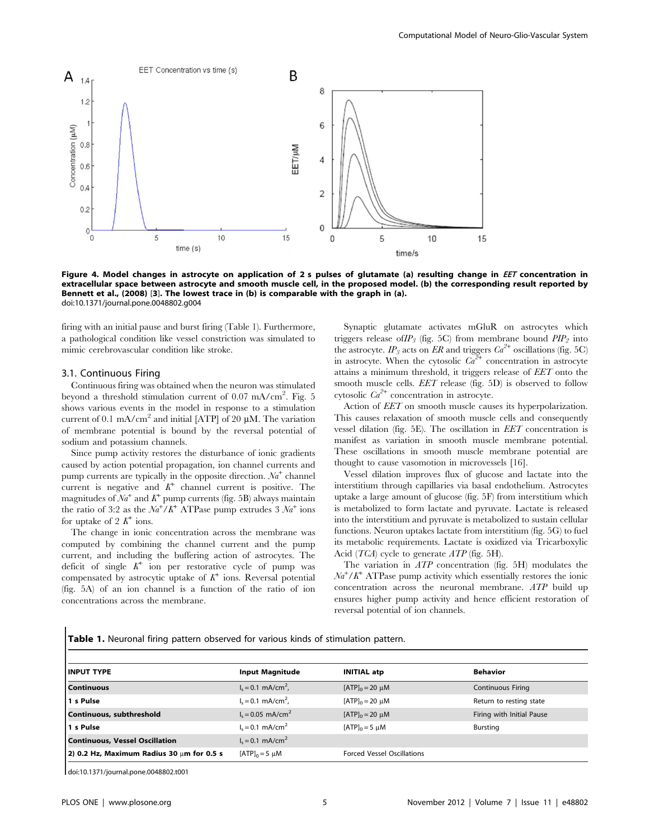

Figure 4. Model changes in astrocyte on application of 2 s pulses of glutamate (a) resulting change in  $EET$  concentration in extracellular space between astrocyte and smooth muscle cell, in the proposed model. (b) the corresponding result reported by Bennett et al., (2008) [3]. The lowest trace in (b) is comparable with the graph in (a). doi:10.1371/journal.pone.0048802.g004

firing with an initial pause and burst firing (Table 1). Furthermore, a pathological condition like vessel constriction was simulated to mimic cerebrovascular condition like stroke.

## 3.1. Continuous Firing

Continuous firing was obtained when the neuron was stimulated beyond a threshold stimulation current of 0.07 mA/cm<sup>2</sup>. Fig. 5 shows various events in the model in response to a stimulation current of 0.1 mA/cm<sup>2</sup> and initial [ATP] of 20  $\mu$ M. The variation of membrane potential is bound by the reversal potential of sodium and potassium channels.

Since pump activity restores the disturbance of ionic gradients caused by action potential propagation, ion channel currents and pump currents are typically in the opposite direction.  $Na<sup>+</sup>$  channel current is negative and  $K^+$  channel current is positive. The magnitudes of  $\mathcal{N}a^+$  and  $\mathcal{K}^+$  pump currents (fig. 5B) always maintain the ratio of 3:2 as the  $\mathcal{N}a^{\dagger}/K^{\dagger}$  ATPase pump extrudes 3  $\mathcal{N}a^{\dagger}$  ions for uptake of 2  $K^+$  ions.

The change in ionic concentration across the membrane was computed by combining the channel current and the pump current, and including the buffering action of astrocytes. The deficit of single  $K^+$  ion per restorative cycle of pump was compensated by astrocytic uptake of  $K^+$  ions. Reversal potential (fig. 5A) of an ion channel is a function of the ratio of ion concentrations across the membrane.

Synaptic glutamate activates mGluR on astrocytes which triggers release of  $IP_3$  (fig. 5C) from membrane bound  $PIP_2$  into the astrocyte. IP<sub>3</sub> acts on ER and triggers  $Ca^{2+}$  oscillations (fig. 5C) in astrocyte. When the cytosolic  $C\bar{a}^{2+}$  concentration in astrocyte attains a minimum threshold, it triggers release of EET onto the smooth muscle cells. EET release (fig. 5D) is observed to follow cytosolic  $Ca^{2+}$  concentration in astrocyte.

Action of EET on smooth muscle causes its hyperpolarization. This causes relaxation of smooth muscle cells and consequently vessel dilation (fig. 5E). The oscillation in EET concentration is manifest as variation in smooth muscle membrane potential. These oscillations in smooth muscle membrane potential are thought to cause vasomotion in microvessels [16].

Vessel dilation improves flux of glucose and lactate into the interstitium through capillaries via basal endothelium. Astrocytes uptake a large amount of glucose (fig. 5F) from interstitium which is metabolized to form lactate and pyruvate. Lactate is released into the interstitium and pyruvate is metabolized to sustain cellular functions. Neuron uptakes lactate from interstitium (fig. 5G) to fuel its metabolic requirements. Lactate is oxidized via Tricarboxylic Acid (TCA) cycle to generate ATP (fig. 5H).

The variation in  $ATP$  concentration (fig. 5H) modulates the  $N a^+/K^+$  ATPase pump activity which essentially restores the ionic concentration across the neuronal membrane. ATP build up ensures higher pump activity and hence efficient restoration of reversal potential of ion channels.

Table 1. Neuronal firing pattern observed for various kinds of stimulation pattern.

| <b>INPUT TYPE</b>                         | <b>Input Magnitude</b>           | <b>INITIAL atp</b>                | <b>Behavior</b>           |
|-------------------------------------------|----------------------------------|-----------------------------------|---------------------------|
| <b>Continuous</b>                         | $I_s = 0.1$ mA/cm <sup>2</sup> , | $[ATP]_0 = 20 \mu M$              | <b>Continuous Firing</b>  |
| 1 s Pulse                                 | $I_s = 0.1$ mA/cm <sup>2</sup> , | $[ATP]_0 = 20 \mu M$              | Return to resting state   |
| Continuous, subthreshold                  | $I_s = 0.05$ mA/cm <sup>2</sup>  | $[ATP]_0 = 20 \mu M$              | Firing with Initial Pause |
| 1 s Pulse                                 | $I_s = 0.1$ mA/cm <sup>2</sup>   | $[ATP]_0 = 5 \mu M$               | Bursting                  |
| <b>Continuous, Vessel Oscillation</b>     | $I_s = 0.1$ mA/cm <sup>2</sup>   |                                   |                           |
| 2) 0.2 Hz, Maximum Radius 30 um for 0.5 s | $[ATP]_0 = 5 \mu M$              | <b>Forced Vessel Oscillations</b> |                           |

doi:10.1371/journal.pone.0048802.t001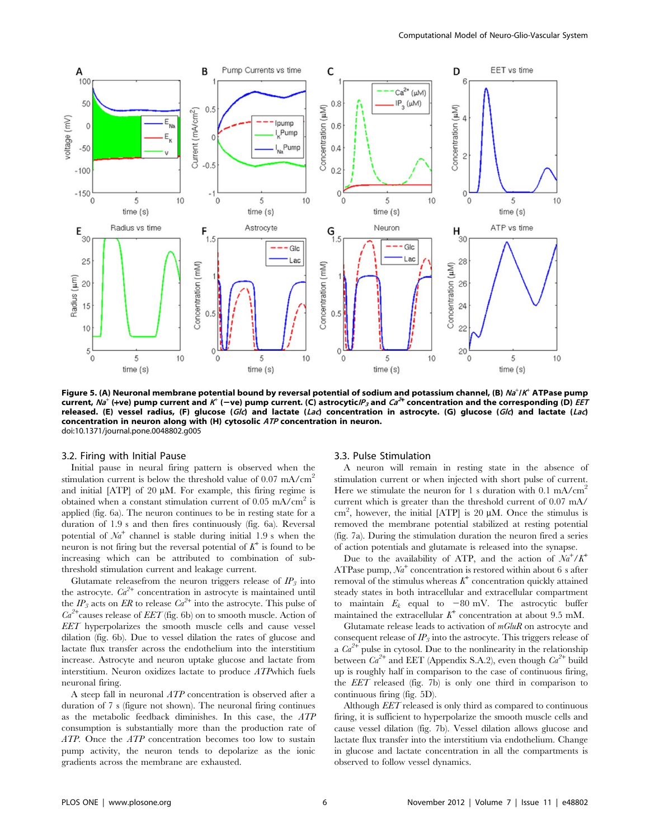

Figure 5. (A) Neuronal membrane potential bound by reversal potential of sodium and potassium channel, (B) Na $^+$ /K $^+$  ATPase pump current,  $Na^+$  (+ve) pump current and K<sup>+</sup> (-ve) pump current. (C) astrocyticIP<sub>3</sub> and Ca<sup>2+</sup> concentration and the corresponding (D) EET released. (E) vessel radius, (F) glucose (Glc) and lactate (Lac) concentration in astrocyte. (G) glucose (Glc) and lactate (Lac) concentration in neuron along with (H) cytosolic ATP concentration in neuron. doi:10.1371/journal.pone.0048802.g005

# 3.2. Firing with Initial Pause

Initial pause in neural firing pattern is observed when the stimulation current is below the threshold value of  $0.07 \text{ mA/cm}^2$ and initial  $[ATP]$  of 20  $\mu$ M. For example, this firing regime is obtained when a constant stimulation current of  $0.05 \text{ mA/cm}^2$  is applied (fig. 6a). The neuron continues to be in resting state for a duration of 1.9 s and then fires continuously (fig. 6a). Reversal potential of  $\mathcal{N}a^+$  channel is stable during initial 1.9 s when the neuron is not firing but the reversal potential of  $K^+$  is found to be increasing which can be attributed to combination of subthreshold stimulation current and leakage current.

Glutamate releasefrom the neuron triggers release of  $IP_3$  into the astrocyte.  $Ca^{2+}$  concentration in astrocyte is maintained until the  $IP_3$  acts on ER to release  $Ca^{2+}$  into the astrocyte. This pulse of  $Ca^{2+}$ causes release of  $EET$  (fig. 6b) on to smooth muscle. Action of EET hyperpolarizes the smooth muscle cells and cause vessel dilation (fig. 6b). Due to vessel dilation the rates of glucose and lactate flux transfer across the endothelium into the interstitium increase. Astrocyte and neuron uptake glucose and lactate from interstitium. Neuron oxidizes lactate to produce ATPwhich fuels neuronal firing.

A steep fall in neuronal ATP concentration is observed after a duration of 7 s (figure not shown). The neuronal firing continues as the metabolic feedback diminishes. In this case, the ATP consumption is substantially more than the production rate of ATP. Once the ATP concentration becomes too low to sustain pump activity, the neuron tends to depolarize as the ionic gradients across the membrane are exhausted.

## 3.3. Pulse Stimulation

A neuron will remain in resting state in the absence of stimulation current or when injected with short pulse of current. Here we stimulate the neuron for 1 s duration with  $0.1 \text{ mA/cm}^2$ current which is greater than the threshold current of 0.07 mA/ cm<sup>2</sup>, however, the initial [ATP] is 20  $\mu$ M. Once the stimulus is removed the membrane potential stabilized at resting potential (fig. 7a). During the stimulation duration the neuron fired a series of action potentials and glutamate is released into the synapse.

Due to the availability of ATP, and the action of  $\dot{N}a^{+}/K^{+}$ ATPase pump,  $\mathcal{N}a^+$  concentration is restored within about 6 s after removal of the stimulus whereas  $K^+$  concentration quickly attained steady states in both intracellular and extracellular compartment to maintain  $E_k$  equal to -80 mV. The astrocytic buffer maintained the extracellular  $K^+$  concentration at about 9.5 mM.

Glutamate release leads to activation of mGluR on astrocyte and consequent release of  $IP_3$  into the astrocyte. This triggers release of a  $Ca^{2+}$  pulse in cytosol. Due to the nonlinearity in the relationship between  $Ca^{2+}$  and EET (Appendix S.A.2), even though  $Ca^{2+}$  build up is roughly half in comparison to the case of continuous firing, the EET released (fig. 7b) is only one third in comparison to continuous firing (fig. 5D).

Although EET released is only third as compared to continuous firing, it is sufficient to hyperpolarize the smooth muscle cells and cause vessel dilation (fig. 7b). Vessel dilation allows glucose and lactate flux transfer into the interstitium via endothelium. Change in glucose and lactate concentration in all the compartments is observed to follow vessel dynamics.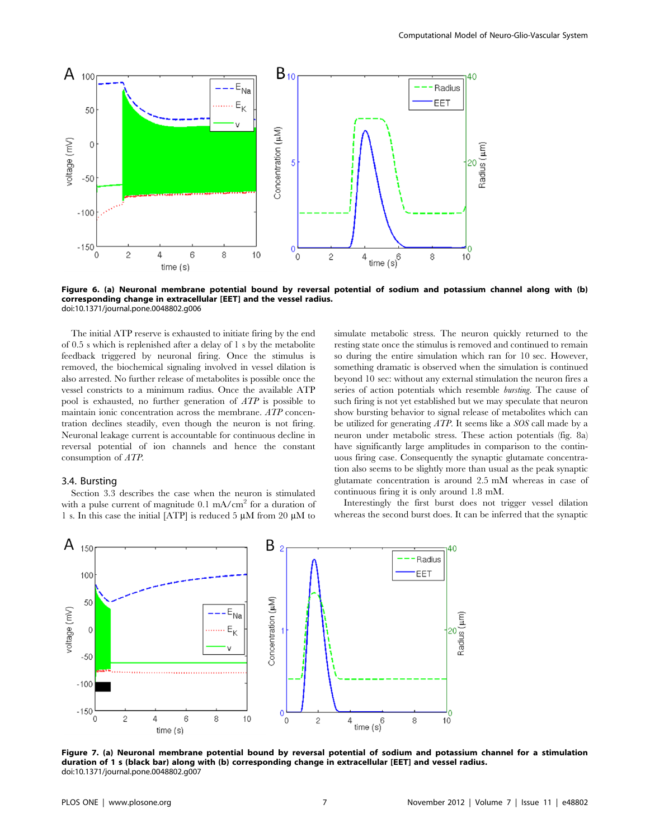

Figure 6. (a) Neuronal membrane potential bound by reversal potential of sodium and potassium channel along with (b) corresponding change in extracellular [EET] and the vessel radius. doi:10.1371/journal.pone.0048802.g006

The initial ATP reserve is exhausted to initiate firing by the end of 0.5 s which is replenished after a delay of 1 s by the metabolite feedback triggered by neuronal firing. Once the stimulus is removed, the biochemical signaling involved in vessel dilation is also arrested. No further release of metabolites is possible once the vessel constricts to a minimum radius. Once the available ATP pool is exhausted, no further generation of ATP is possible to maintain ionic concentration across the membrane. ATP concentration declines steadily, even though the neuron is not firing. Neuronal leakage current is accountable for continuous decline in reversal potential of ion channels and hence the constant consumption of ATP.

## 3.4. Bursting

Section 3.3 describes the case when the neuron is stimulated with a pulse current of magnitude  $0.1 \text{ mA/cm}^2$  for a duration of 1 s. In this case the initial [ATP] is reduced 5  $\mu$ M from 20  $\mu$ M to simulate metabolic stress. The neuron quickly returned to the resting state once the stimulus is removed and continued to remain so during the entire simulation which ran for 10 sec. However, something dramatic is observed when the simulation is continued beyond 10 sec: without any external stimulation the neuron fires a series of action potentials which resemble bursting. The cause of such firing is not yet established but we may speculate that neuron show bursting behavior to signal release of metabolites which can be utilized for generating ATP. It seems like a SOS call made by a neuron under metabolic stress. These action potentials (fig. 8a) have significantly large amplitudes in comparison to the continuous firing case. Consequently the synaptic glutamate concentration also seems to be slightly more than usual as the peak synaptic glutamate concentration is around 2.5 mM whereas in case of continuous firing it is only around 1.8 mM.

Interestingly the first burst does not trigger vessel dilation whereas the second burst does. It can be inferred that the synaptic



Figure 7. (a) Neuronal membrane potential bound by reversal potential of sodium and potassium channel for a stimulation duration of 1 s (black bar) along with (b) corresponding change in extracellular [EET] and vessel radius. doi:10.1371/journal.pone.0048802.g007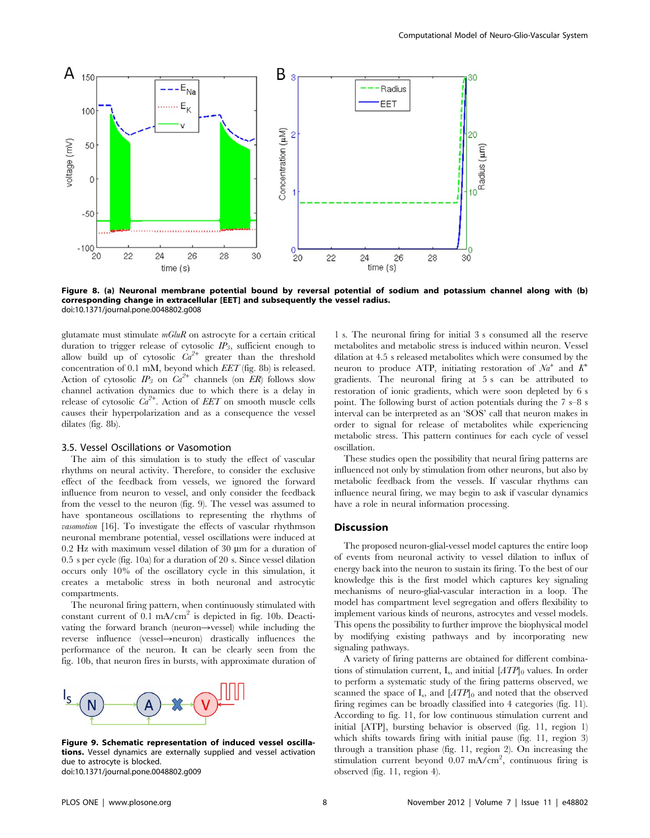

Figure 8. (a) Neuronal membrane potential bound by reversal potential of sodium and potassium channel along with (b) corresponding change in extracellular [EET] and subsequently the vessel radius. doi:10.1371/journal.pone.0048802.g008

glutamate must stimulate  $mGluR$  on astrocyte for a certain critical duration to trigger release of cytosolic  $IP_3$ , sufficient enough to allow build up of cytosolic  $Ca^{2+}$  greater than the threshold concentration of 0.1 mM, beyond which EET (fig. 8b) is released. Action of cytosolic  $IP_3$  on  $Ca^{2+}$  channels (on ER) follows slow channel activation dynamics due to which there is a delay in release of cytosolic  $Ca^{2+}$ . Action of EET on smooth muscle cells causes their hyperpolarization and as a consequence the vessel dilates (fig. 8b).

# 3.5. Vessel Oscillations or Vasomotion

The aim of this simulation is to study the effect of vascular rhythms on neural activity. Therefore, to consider the exclusive effect of the feedback from vessels, we ignored the forward influence from neuron to vessel, and only consider the feedback from the vessel to the neuron (fig. 9). The vessel was assumed to have spontaneous oscillations to representing the rhythms of vasomotion [16]. To investigate the effects of vascular rhythmson neuronal membrane potential, vessel oscillations were induced at  $0.2$  Hz with maximum vessel dilation of  $30 \mu m$  for a duration of 0.5 s per cycle (fig. 10a) for a duration of 20 s. Since vessel dilation occurs only 10% of the oscillatory cycle in this simulation, it creates a metabolic stress in both neuronal and astrocytic compartments.

The neuronal firing pattern, when continuously stimulated with constant current of  $0.1 \text{ mA/cm}^2$  is depicted in fig. 10b. Deactivating the forward branch (neuron $\rightarrow$ vessel) while including the reverse influence (vessel $\rightarrow$ neuron) drastically influences the performance of the neuron. It can be clearly seen from the fig. 10b, that neuron fires in bursts, with approximate duration of



Figure 9. Schematic representation of induced vessel oscillations. Vessel dynamics are externally supplied and vessel activation due to astrocyte is blocked. doi:10.1371/journal.pone.0048802.g009

1 s. The neuronal firing for initial 3 s consumed all the reserve metabolites and metabolic stress is induced within neuron. Vessel dilation at 4.5 s released metabolites which were consumed by the neuron to produce ATP, initiating restoration of  $\mathcal{N}^+$  and  $\mathcal{K}^+$ gradients. The neuronal firing at 5 s can be attributed to restoration of ionic gradients, which were soon depleted by 6 s point. The following burst of action potentials during the 7 s–8 s interval can be interpreted as an 'SOS' call that neuron makes in order to signal for release of metabolites while experiencing metabolic stress. This pattern continues for each cycle of vessel oscillation.

These studies open the possibility that neural firing patterns are influenced not only by stimulation from other neurons, but also by metabolic feedback from the vessels. If vascular rhythms can influence neural firing, we may begin to ask if vascular dynamics have a role in neural information processing.

## **Discussion**

The proposed neuron-glial-vessel model captures the entire loop of events from neuronal activity to vessel dilation to influx of energy back into the neuron to sustain its firing. To the best of our knowledge this is the first model which captures key signaling mechanisms of neuro-glial-vascular interaction in a loop. The model has compartment level segregation and offers flexibility to implement various kinds of neurons, astrocytes and vessel models. This opens the possibility to further improve the biophysical model by modifying existing pathways and by incorporating new signaling pathways.

A variety of firing patterns are obtained for different combinations of stimulation current,  $I_s$ , and initial  $[ATP]_0$  values. In order to perform a systematic study of the firing patterns observed, we scanned the space of  $I_s$ , and  $[ATP]_0$  and noted that the observed firing regimes can be broadly classified into 4 categories (fig. 11). According to fig. 11, for low continuous stimulation current and initial [ATP], bursting behavior is observed (fig. 11, region 1) which shifts towards firing with initial pause (fig. 11, region 3) through a transition phase (fig. 11, region 2). On increasing the stimulation current beyond 0.07 mA/cm<sup>2</sup>, continuous firing is observed (fig. 11, region 4).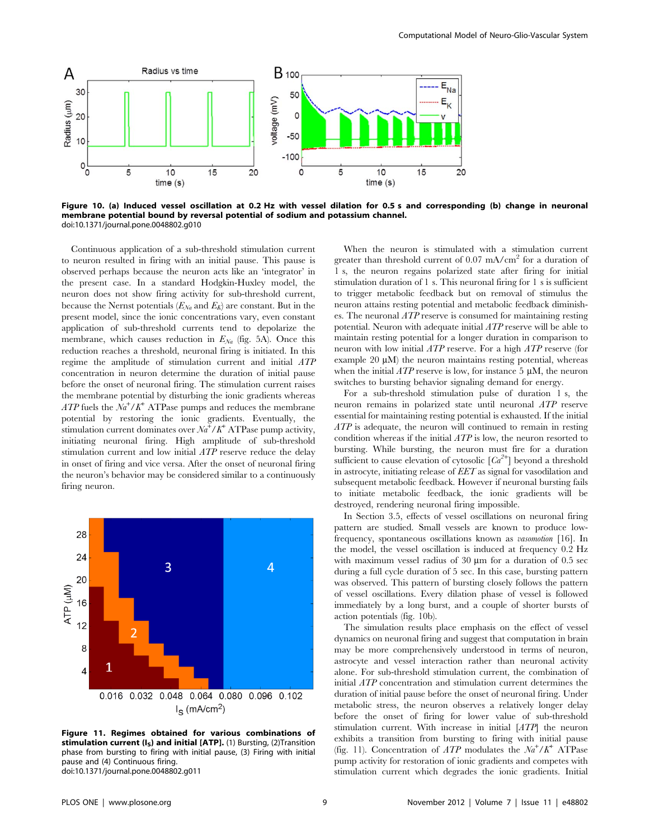

Figure 10. (a) Induced vessel oscillation at 0.2 Hz with vessel dilation for 0.5 s and corresponding (b) change in neuronal membrane potential bound by reversal potential of sodium and potassium channel. doi:10.1371/journal.pone.0048802.g010

Continuous application of a sub-threshold stimulation current to neuron resulted in firing with an initial pause. This pause is observed perhaps because the neuron acts like an 'integrator' in the present case. In a standard Hodgkin-Huxley model, the neuron does not show firing activity for sub-threshold current, because the Nernst potentials  $(E_{\mathcal{N}_a}$  and  $E_K$ ) are constant. But in the present model, since the ionic concentrations vary, even constant application of sub-threshold currents tend to depolarize the membrane, which causes reduction in  $E_{Na}$  (fig. 5A). Once this reduction reaches a threshold, neuronal firing is initiated. In this regime the amplitude of stimulation current and initial ATP concentration in neuron determine the duration of initial pause before the onset of neuronal firing. The stimulation current raises the membrane potential by disturbing the ionic gradients whereas  $ATP$  fuels the  $\overline{Na^+}/\overline{K}^+$  ATPase pumps and reduces the membrane potential by restoring the ionic gradients. Eventually, the stimulation current dominates over  $\mathcal{N}^{\#}/\mathcal{K}^+$  ATPase pump activity, initiating neuronal firing. High amplitude of sub-threshold stimulation current and low initial ATP reserve reduce the delay in onset of firing and vice versa. After the onset of neuronal firing the neuron's behavior may be considered similar to a continuously firing neuron.



Figure 11. Regimes obtained for various combinations of stimulation current  $(I_S)$  and initial [ATP]. (1) Bursting, (2)Transition phase from bursting to firing with initial pause, (3) Firing with initial pause and (4) Continuous firing. doi:10.1371/journal.pone.0048802.g011

When the neuron is stimulated with a stimulation current greater than threshold current of  $0.07 \text{ mA/cm}^2$  for a duration of 1 s, the neuron regains polarized state after firing for initial stimulation duration of 1 s. This neuronal firing for 1 s is sufficient to trigger metabolic feedback but on removal of stimulus the neuron attains resting potential and metabolic feedback diminishes. The neuronal ATP reserve is consumed for maintaining resting potential. Neuron with adequate initial ATP reserve will be able to maintain resting potential for a longer duration in comparison to neuron with low initial ATP reserve. For a high ATP reserve (for example 20  $\mu$ M) the neuron maintains resting potential, whereas when the initial  $ATP$  reserve is low, for instance 5  $\mu$ M, the neuron switches to bursting behavior signaling demand for energy.

For a sub-threshold stimulation pulse of duration 1 s, the neuron remains in polarized state until neuronal ATP reserve essential for maintaining resting potential is exhausted. If the initial ATP is adequate, the neuron will continued to remain in resting condition whereas if the initial  $ATP$  is low, the neuron resorted to bursting. While bursting, the neuron must fire for a duration sufficient to cause elevation of cytosolic  $[Ca^{2+}]$  beyond a threshold in astrocyte, initiating release of EET as signal for vasodilation and subsequent metabolic feedback. However if neuronal bursting fails to initiate metabolic feedback, the ionic gradients will be destroyed, rendering neuronal firing impossible.

In Section 3.5, effects of vessel oscillations on neuronal firing pattern are studied. Small vessels are known to produce lowfrequency, spontaneous oscillations known as vasomotion [16]. In the model, the vessel oscillation is induced at frequency 0.2 Hz with maximum vessel radius of  $30 \mu m$  for a duration of  $0.5 \text{ sec}$ during a full cycle duration of 5 sec. In this case, bursting pattern was observed. This pattern of bursting closely follows the pattern of vessel oscillations. Every dilation phase of vessel is followed immediately by a long burst, and a couple of shorter bursts of action potentials (fig. 10b).

The simulation results place emphasis on the effect of vessel dynamics on neuronal firing and suggest that computation in brain may be more comprehensively understood in terms of neuron, astrocyte and vessel interaction rather than neuronal activity alone. For sub-threshold stimulation current, the combination of initial ATP concentration and stimulation current determines the duration of initial pause before the onset of neuronal firing. Under metabolic stress, the neuron observes a relatively longer delay before the onset of firing for lower value of sub-threshold stimulation current. With increase in initial  $[ATP]$  the neuron exhibits a transition from bursting to firing with initial pause (fig. 11). Concentration of  $ATP$  modulates the  $\mathcal{N}a^+/\mathcal{K}^+$  ATPase pump activity for restoration of ionic gradients and competes with stimulation current which degrades the ionic gradients. Initial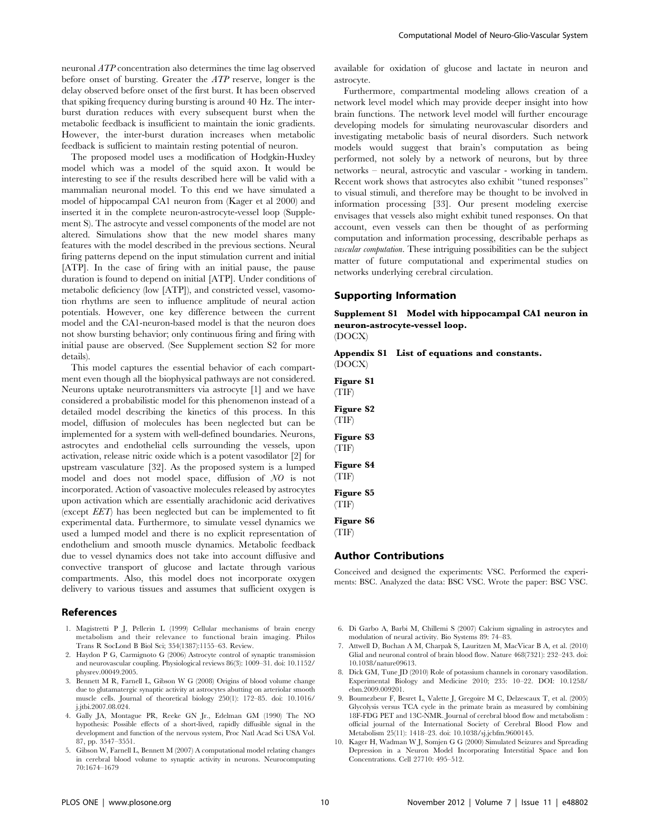neuronal ATP concentration also determines the time lag observed before onset of bursting. Greater the ATP reserve, longer is the delay observed before onset of the first burst. It has been observed that spiking frequency during bursting is around 40 Hz. The interburst duration reduces with every subsequent burst when the metabolic feedback is insufficient to maintain the ionic gradients. However, the inter-burst duration increases when metabolic feedback is sufficient to maintain resting potential of neuron.

The proposed model uses a modification of Hodgkin-Huxley model which was a model of the squid axon. It would be interesting to see if the results described here will be valid with a mammalian neuronal model. To this end we have simulated a model of hippocampal CA1 neuron from (Kager et al 2000) and inserted it in the complete neuron-astrocyte-vessel loop (Supplement S). The astrocyte and vessel components of the model are not altered. Simulations show that the new model shares many features with the model described in the previous sections. Neural firing patterns depend on the input stimulation current and initial [ATP]. In the case of firing with an initial pause, the pause duration is found to depend on initial [ATP]. Under conditions of metabolic deficiency (low [ATP]), and constricted vessel, vasomotion rhythms are seen to influence amplitude of neural action potentials. However, one key difference between the current model and the CA1-neuron-based model is that the neuron does not show bursting behavior; only continuous firing and firing with initial pause are observed. (See Supplement section S2 for more details).

This model captures the essential behavior of each compartment even though all the biophysical pathways are not considered. Neurons uptake neurotransmitters via astrocyte [1] and we have considered a probabilistic model for this phenomenon instead of a detailed model describing the kinetics of this process. In this model, diffusion of molecules has been neglected but can be implemented for a system with well-defined boundaries. Neurons, astrocytes and endothelial cells surrounding the vessels, upon activation, release nitric oxide which is a potent vasodilator [2] for upstream vasculature [32]. As the proposed system is a lumped model and does not model space, diffusion of NO is not incorporated. Action of vasoactive molecules released by astrocytes upon activation which are essentially arachidonic acid derivatives (except EET) has been neglected but can be implemented to fit experimental data. Furthermore, to simulate vessel dynamics we used a lumped model and there is no explicit representation of endothelium and smooth muscle dynamics. Metabolic feedback due to vessel dynamics does not take into account diffusive and convective transport of glucose and lactate through various compartments. Also, this model does not incorporate oxygen delivery to various tissues and assumes that sufficient oxygen is

# References

- 1. Magistretti P J, Pellerin L (1999) Cellular mechanisms of brain energy metabolism and their relevance to functional brain imaging. Philos Trans R SocLond B Biol Sci; 354(1387):1155–63. Review.
- 2. Haydon P G, Carmignoto G (2006) Astrocyte control of synaptic transmission and neurovascular coupling. Physiological reviews 86(3): 1009–31. doi: 10.1152/ physrev.00049.2005.
- 3. Bennett M R, Farnell L, Gibson W G (2008) Origins of blood volume change due to glutamatergic synaptic activity at astrocytes abutting on arteriolar smooth muscle cells. Journal of theoretical biology 250(1): 172–85. doi: 10.1016/ j.jtbi.2007.08.024.
- 4. Gally JA, Montague PR, Reeke GN Jr., Edelman GM (1990) The NO hypothesis: Possible effects of a short-lived, rapidly diffusible signal in the development and function of the nervous system, Proc Natl Acad Sci USA Vol. 87, pp. 3547–3551.
- 5. Gibson W, Farnell L, Bennett M (2007) A computational model relating changes in cerebral blood volume to synaptic activity in neurons. Neurocomputing 70:1674–1679

available for oxidation of glucose and lactate in neuron and astrocyte.

Furthermore, compartmental modeling allows creation of a network level model which may provide deeper insight into how brain functions. The network level model will further encourage developing models for simulating neurovascular disorders and investigating metabolic basis of neural disorders. Such network models would suggest that brain's computation as being performed, not solely by a network of neurons, but by three networks – neural, astrocytic and vascular - working in tandem. Recent work shows that astrocytes also exhibit ''tuned responses'' to visual stimuli, and therefore may be thought to be involved in information processing [33]. Our present modeling exercise envisages that vessels also might exhibit tuned responses. On that account, even vessels can then be thought of as performing computation and information processing, describable perhaps as vascular computation. These intriguing possibilities can be the subject matter of future computational and experimental studies on networks underlying cerebral circulation.

# Supporting Information

Supplement S1 Model with hippocampal CA1 neuron in neuron-astrocyte-vessel loop. (DOCX)

Appendix S1 List of equations and constants.

(DOCX) Figure S1 (TIF) Figure S2 (TIF) Figure S3 (TIF) Figure S4 (TIF) Figure S5 (TIF) Figure S6 (TIF)

## Author Contributions

Conceived and designed the experiments: VSC. Performed the experiments: BSC. Analyzed the data: BSC VSC. Wrote the paper: BSC VSC.

- 6. Di Garbo A, Barbi M, Chillemi S (2007) Calcium signaling in astrocytes and modulation of neural activity. Bio Systems 89: 74–83.
- 7. Attwell D, Buchan A M, Charpak S, Lauritzen M, MacVicar B A, et al. (2010) Glial and neuronal control of brain blood flow. Nature 468(7321): 232–243. doi: 10.1038/nature09613.
- 8. Dick GM, Tune JD (2010) Role of potassium channels in coronary vasodilation. Experimental Biology and Medicine 2010; 235: 10–22. DOI: 10.1258/ ebm.2009.009201.
- 9. Boumezbeur F, Besret L, Valette J, Gregoire M C, Delzescaux T, et al. (2005) Glycolysis versus TCA cycle in the primate brain as measured by combining 18F-FDG PET and 13C-NMR. Journal of cerebral blood flow and metabolism : official journal of the International Society of Cerebral Blood Flow and Metabolism 25(11): 1418–23. doi: 10.1038/sj.jcbfm.9600145.
- 10. Kager H, Wadman W J, Somjen G G (2000) Simulated Seizures and Spreading Depression in a Neuron Model Incorporating Interstitial Space and Ion Concentrations. Cell 27710: 495–512.